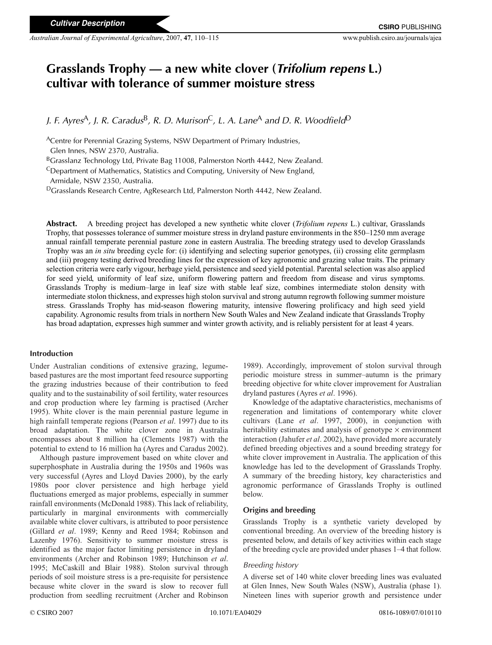# **Grasslands Trophy — a new white clover (***Trifolium repens* **L.) cultivar with tolerance of summer moisture stress**

*J. F. Ayres*A*, J. R. Caradus*B*, R. D. Murison*C*, L. A. Lane*<sup>A</sup> *and D. R. Woodfield*<sup>D</sup>

ACentre for Perennial Grazing Systems, NSW Department of Primary Industries,

Glen Innes, NSW 2370, Australia.

B<sub>Grasslanz</sub> Technology Ltd, Private Bag 11008, Palmerston North 4442, New Zealand.

CDepartment of Mathematics, Statistics and Computing, University of New England,

Armidale, NSW 2350, Australia.

DGrasslands Research Centre, AgResearch Ltd, Palmerston North 4442, New Zealand.

**Abstract.** A breeding project has developed a new synthetic white clover (*Trifolium repens* L.) cultivar, Grasslands Trophy, that possesses tolerance of summer moisture stress in dryland pasture environments in the 850–1250 mm average annual rainfall temperate perennial pasture zone in eastern Australia. The breeding strategy used to develop Grasslands Trophy was an *in situ* breeding cycle for: (i) identifying and selecting superior genotypes, (ii) crossing elite germplasm and (iii) progeny testing derived breeding lines for the expression of key agronomic and grazing value traits. The primary selection criteria were early vigour, herbage yield, persistence and seed yield potential. Parental selection was also applied for seed yield, uniformity of leaf size, uniform flowering pattern and freedom from disease and virus symptoms. Grasslands Trophy is medium–large in leaf size with stable leaf size, combines intermediate stolon density with intermediate stolon thickness, and expresses high stolon survival and strong autumn regrowth following summer moisture stress. Grasslands Trophy has mid-season flowering maturity, intensive flowering prolificacy and high seed yield capability. Agronomic results from trials in northern New South Wales and New Zealand indicate that Grasslands Trophy has broad adaptation, expresses high summer and winter growth activity, and is reliably persistent for at least 4 years.

## **Introduction**

Under Australian conditions of extensive grazing, legumebased pastures are the most important feed resource supporting the grazing industries because of their contribution to feed quality and to the sustainability of soil fertility, water resources and crop production where ley farming is practised (Archer 1995). White clover is the main perennial pasture legume in high rainfall temperate regions (Pearson *et al*. 1997) due to its broad adaptation. The white clover zone in Australia encompasses about 8 million ha (Clements 1987) with the potential to extend to 16 million ha (Ayres and Caradus 2002).

Although pasture improvement based on white clover and superphosphate in Australia during the 1950s and 1960s was very successful (Ayres and Lloyd Davies 2000), by the early 1980s poor clover persistence and high herbage yield fluctuations emerged as major problems, especially in summer rainfall environments (McDonald 1988). This lack of reliability, particularly in marginal environments with commercially available white clover cultivars, is attributed to poor persistence (Gillard *et al*. 1989; Kenny and Reed 1984; Robinson and Lazenby 1976). Sensitivity to summer moisture stress is identified as the major factor limiting persistence in dryland environments (Archer and Robinson 1989; Hutchinson *et al*. 1995; McCaskill and Blair 1988). Stolon survival through periods of soil moisture stress is a pre-requisite for persistence because white clover in the sward is slow to recover full production from seedling recruitment (Archer and Robinson

1989). Accordingly, improvement of stolon survival through periodic moisture stress in summer–autumn is the primary breeding objective for white clover improvement for Australian dryland pastures (Ayres *et al*. 1996).

Knowledge of the adaptative characteristics, mechanisms of regeneration and limitations of contemporary white clover cultivars (Lane *et al*. 1997, 2000), in conjunction with heritability estimates and analysis of genotype  $\times$  environment interaction (Jahufer *et al*. 2002), have provided more accurately defined breeding objectives and a sound breeding strategy for white clover improvement in Australia. The application of this knowledge has led to the development of Grasslands Trophy. A summary of the breeding history, key characteristics and agronomic performance of Grasslands Trophy is outlined below.

# **Origins and breeding**

Grasslands Trophy is a synthetic variety developed by conventional breeding. An overview of the breeding history is presented below, and details of key activities within each stage of the breeding cycle are provided under phases 1–4 that follow.

## *Breeding history*

A diverse set of 140 white clover breeding lines was evaluated at Glen Innes, New South Wales (NSW), Australia (phase 1). Nineteen lines with superior growth and persistence under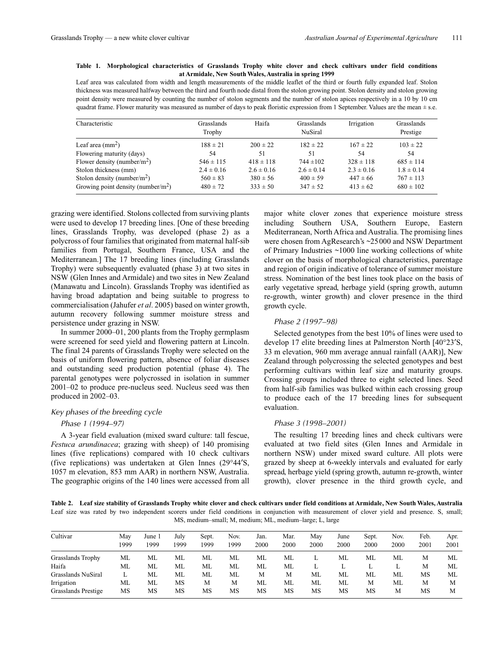## **Table 1. Morphological characteristics of Grasslands Trophy white clover and check cultivars under field conditions at Armidale, New South Wales, Australia in spring 1999**

Leaf area was calculated from width and length measurements of the middle leaflet of the third or fourth fully expanded leaf. Stolon thickness was measured halfway between the third and fourth node distal from the stolon growing point. Stolon density and stolon growing point density were measured by counting the number of stolon segments and the number of stolon apices respectively in a 10 by 10 cm quadrat frame. Flower maturity was measured as number of days to peak floristic expression from 1 September. Values are the mean  $\pm$  s.e.

| Characteristic                                 | Grasslands<br>Trophy | Haifa          | Grasslands<br><b>NuSiral</b> | Irrigation     | Grasslands<br>Prestige |
|------------------------------------------------|----------------------|----------------|------------------------------|----------------|------------------------|
| Leaf area $\text{(mm}^2)$                      | $188 \pm 21$         | $200 \pm 22$   | $182 \pm 22$                 | $167 \pm 22$   | $103 \pm 22$           |
| Flowering maturity (days)                      | 54                   | 51             | 51                           | 54             | 54                     |
| Flower density (number/ $m2$ )                 | $546 \pm 115$        | $418 \pm 118$  | $744 \pm 102$                | $328 \pm 118$  | $685 \pm 114$          |
| Stolon thickness (mm)                          | $2.4 \pm 0.16$       | $2.6 \pm 0.16$ | $2.6 \pm 0.14$               | $2.3 \pm 0.16$ | $1.8 \pm 0.14$         |
| Stolon density (number/ $m2$ )                 | $560 \pm 83$         | $380 \pm 56$   | $400 \pm 59$                 | $447 \pm 66$   | $767 \pm 113$          |
| Growing point density (number/m <sup>2</sup> ) | $480 \pm 72$         | $333 \pm 50$   | $347 \pm 52$                 | $413 \pm 62$   | $680 \pm 102$          |

grazing were identified. Stolons collected from surviving plants were used to develop 17 breeding lines. [One of these breeding lines, Grasslands Trophy, was developed (phase 2) as a polycross of four families that originated from maternal half-sib families from Portugal, Southern France, USA and the Mediterranean.] The 17 breeding lines (including Grasslands Trophy) were subsequently evaluated (phase 3) at two sites in NSW (Glen Innes and Armidale) and two sites in New Zealand (Manawatu and Lincoln). Grasslands Trophy was identified as having broad adaptation and being suitable to progress to commercialisation (Jahufer *et al*. 2005) based on winter growth, autumn recovery following summer moisture stress and persistence under grazing in NSW.

In summer 2000–01, 200 plants from the Trophy germplasm were screened for seed yield and flowering pattern at Lincoln. The final 24 parents of Grasslands Trophy were selected on the basis of uniform flowering pattern, absence of foliar diseases and outstanding seed production potential (phase 4). The parental genotypes were polycrossed in isolation in summer 2001–02 to produce pre-nucleus seed. Nucleus seed was then produced in 2002–03.

## *Key phases of the breeding cycle*

## *Phase 1 (1994–97)*

A 3-year field evaluation (mixed sward culture: tall fescue, *Festuca arundinacea*; grazing with sheep) of 140 promising lines (five replications) compared with 10 check cultivars (five replications) was undertaken at Glen Innes (29°44′S, 1057 m elevation, 853 mm AAR) in northern NSW, Australia. The geographic origins of the 140 lines were accessed from all

major white clover zones that experience moisture stress including Southern USA, Southern Europe, Eastern Mediterranean, North Africa and Australia. The promising lines were chosen from AgResearch's *~*25000 and NSW Department of Primary Industries *~*1000 line working collections of white clover on the basis of morphological characteristics, parentage and region of origin indicative of tolerance of summer moisture stress. Nomination of the best lines took place on the basis of early vegetative spread, herbage yield (spring growth, autumn re-growth, winter growth) and clover presence in the third growth cycle.

## *Phase 2 (1997–98)*

Selected genotypes from the best 10% of lines were used to develop 17 elite breeding lines at Palmerston North [40°23′S, 33 m elevation, 960 mm average annual rainfall (AAR)], New Zealand through polycrossing the selected genotypes and best performing cultivars within leaf size and maturity groups. Crossing groups included three to eight selected lines. Seed from half-sib families was bulked within each crossing group to produce each of the 17 breeding lines for subsequent evaluation.

## *Phase 3 (1998–2001)*

The resulting 17 breeding lines and check cultivars were evaluated at two field sites (Glen Innes and Armidale in northern NSW) under mixed sward culture. All plots were grazed by sheep at 6-weekly intervals and evaluated for early spread, herbage yield (spring growth, autumn re-growth, winter growth), clover presence in the third growth cycle, and

**Table 2. Leaf size stability of Grasslands Trophy white clover and check cultivars under field conditions at Armidale, New South Wales, Australia** Leaf size was rated by two independent scorers under field conditions in conjunction with measurement of clover yield and presence. S, small; MS, medium–small; M, medium; ML, medium–large; L, large

| Cultivar                 | Mav<br>1999 | June 1<br>1999 | July<br>1999 | Sept.<br>1999 | Nov.<br>1999 | Jan.<br>2000 | Mar.<br>2000 | Mav<br>2000 | June<br>2000 | Sept.<br>2000 | Nov.<br>2000 | Feb.<br>2001 | Apr.<br>2001 |
|--------------------------|-------------|----------------|--------------|---------------|--------------|--------------|--------------|-------------|--------------|---------------|--------------|--------------|--------------|
| <b>Grasslands Trophy</b> | МL          | ML             | ML           | МL            | МL           | ML           | МL           |             | МL           | ML            | МL           | М            | МL           |
| Haifa                    | МL          | ML             | ML           | ML            | МL           | МL           | ML           | л.          | ⊥            | L             |              | M            | МL           |
| Grasslands NuSiral       |             | МL             | ML           | МL            | ML           | М            | М            | ML          | ML           | МL            | МL           | MS           | МL           |
| Irrigation               | МL          | МL             | MS           | М             | M            | ML           | ML           | ML          | ML           | М             | МL           | М            | М            |
| Grasslands Prestige      | MS          | MS             | MS           | MS            | MS           | MS           | MS           | MS          | MS           | MS            | M            | MS           | М            |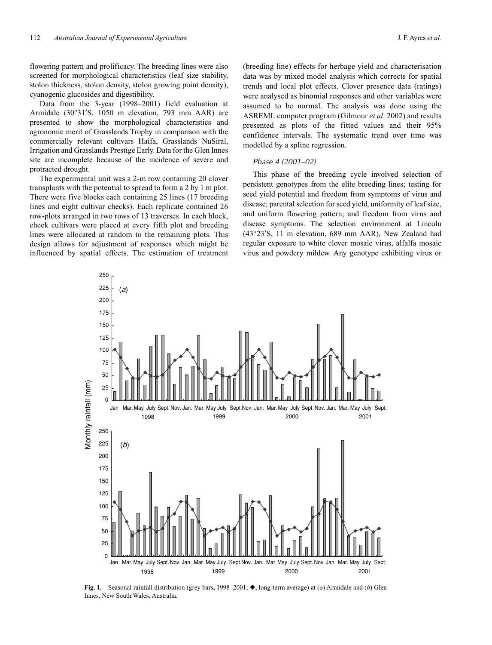flowering pattern and prolificacy. The breeding lines were also screened for morphological characteristics (leaf size stability, stolon thickness, stolon density, stolon growing point density), cyanogenic glucosides and digestibility.

Data from the 3-year (1998–2001) field evaluation at Armidale (30°31′S, 1050 m elevation, 793 mm AAR) are presented to show the morphological characteristics and agronomic merit of Grasslands Trophy in comparison with the commercially relevant cultivars Haifa, Grasslands NuSiral, Irrigation and Grasslands Prestige Early. Data for the Glen Innes site are incomplete because of the incidence of severe and protracted drought.

The experimental unit was a 2-m row containing 20 clover transplants with the potential to spread to form a 2 by 1 m plot. There were five blocks each containing 25 lines (17 breeding lines and eight cultivar checks). Each replicate contained 26 row-plots arranged in two rows of 13 traverses. In each block, check cultivars were placed at every fifth plot and breeding lines were allocated at random to the remaining plots. This design allows for adjustment of responses which might be influenced by spatial effects. The estimation of treatment (breeding line) effects for herbage yield and characterisation data was by mixed model analysis which corrects for spatial trends and local plot effects. Clover presence data (ratings) were analysed as binomial responses and other variables were assumed to be normal. The analysis was done using the ASREML computer program (Gilmour *et al*. 2002) and results presented as plots of the fitted values and their 95% confidence intervals. The systematic trend over time was modelled by a spline regression.

#### *Phase 4 (2001–02)*

This phase of the breeding cycle involved selection of persistent genotypes from the elite breeding lines; testing for seed yield potential and freedom from symptoms of virus and disease; parental selection for seed yield, uniformity of leaf size, and uniform flowering pattern; and freedom from virus and disease symptoms. The selection environment at Lincoln (43°23′S, 11 m elevation, 689 mm AAR), New Zealand had regular exposure to white clover mosaic virus, alfalfa mosaic virus and powdery mildew. Any genotype exhibiting virus or



Fig. 1. Seasonal rainfall distribution (grey bars, 1998–2001;  $\blacklozenge$ , long-term average) at (*a*) Armidale and (*b*) Glen Innes, New South Wales, Australia.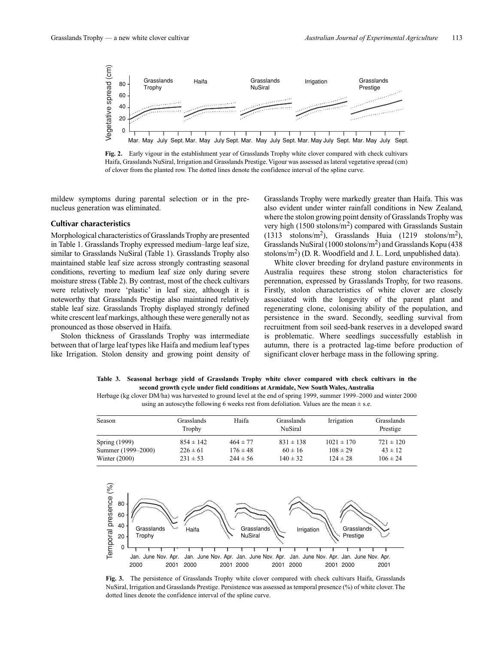

**Fig. 2.** Early vigour in the establishment year of Grasslands Trophy white clover compared with check cultivars Haifa, Grasslands NuSiral, Irrigation and Grasslands Prestige. Vigour was assessed as lateral vegetative spread (cm) of clover from the planted row. The dotted lines denote the confidence interval of the spline curve.

mildew symptoms during parental selection or in the prenucleus generation was eliminated.

## **Cultivar characteristics**

Morphological characteristics of Grasslands Trophy are presented in Table 1. Grasslands Trophy expressed medium–large leaf size, similar to Grasslands NuSiral (Table 1). Grasslands Trophy also maintained stable leaf size across strongly contrasting seasonal conditions, reverting to medium leaf size only during severe moisture stress (Table 2). By contrast, most of the check cultivars were relatively more 'plastic' in leaf size, although it is noteworthy that Grasslands Prestige also maintained relatively stable leaf size. Grasslands Trophy displayed strongly defined white crescent leaf markings, although these were generally not as pronounced as those observed in Haifa.

Stolon thickness of Grasslands Trophy was intermediate between that of large leaf types like Haifa and medium leaf types like Irrigation. Stolon density and growing point density of Grasslands Trophy were markedly greater than Haifa. This was also evident under winter rainfall conditions in New Zealand, where the stolon growing point density of Grasslands Trophy was very high (1500 stolons/m2) compared with Grasslands Sustain  $(1313 \text{ stolons/m}^2)$ , Grasslands Huia  $(1219 \text{ stolons/m}^2)$ , Grasslands NuSiral (1000 stolons/ $m<sup>2</sup>$ ) and Grasslands Kopu (438 stolons/ $m<sup>2</sup>$ ) (D. R. Woodfield and J. L. Lord, unpublished data).

White clover breeding for dryland pasture environments in Australia requires these strong stolon characteristics for perennation, expressed by Grasslands Trophy, for two reasons. Firstly, stolon characteristics of white clover are closely associated with the longevity of the parent plant and regenerating clone, colonising ability of the population, and persistence in the sward. Secondly, seedling survival from recruitment from soil seed-bank reserves in a developed sward is problematic. Where seedlings successfully establish in autumn, there is a protracted lag-time before production of significant clover herbage mass in the following spring.

**Table 3. Seasonal herbage yield of Grasslands Trophy white clover compared with check cultivars in the second growth cycle under field conditions at Armidale, New South Wales, Australia**

Herbage (kg clover DM/ha) was harvested to ground level at the end of spring 1999, summer 1999–2000 and winter 2000 using an autoscythe following 6 weeks rest from defoliation. Values are the mean  $\pm$  s.e.

| Season             | Grasslands<br>Trophy | Haifa        | Grasslands<br><b>NuSiral</b> | Irrigation     | Grasslands<br>Prestige |
|--------------------|----------------------|--------------|------------------------------|----------------|------------------------|
| Spring (1999)      | $854 \pm 142$        | $464 \pm 77$ | $831 \pm 138$                | $1021 \pm 170$ | $721 \pm 120$          |
| Summer (1999–2000) | $226 \pm 61$         | $176 \pm 48$ | $60 \pm 16$                  | $108 \pm 29$   | $43 \pm 12$            |
| Winter $(2000)$    | $231 \pm 53$         | $244 \pm 56$ | $140 \pm 32$                 | $124 \pm 28$   | $106 \pm 24$           |



**Fig. 3.** The persistence of Grasslands Trophy white clover compared with check cultivars Haifa, Grasslands NuSiral, Irrigation and Grasslands Prestige. Persistence was assessed as temporal presence (%) of white clover. The dotted lines denote the confidence interval of the spline curve.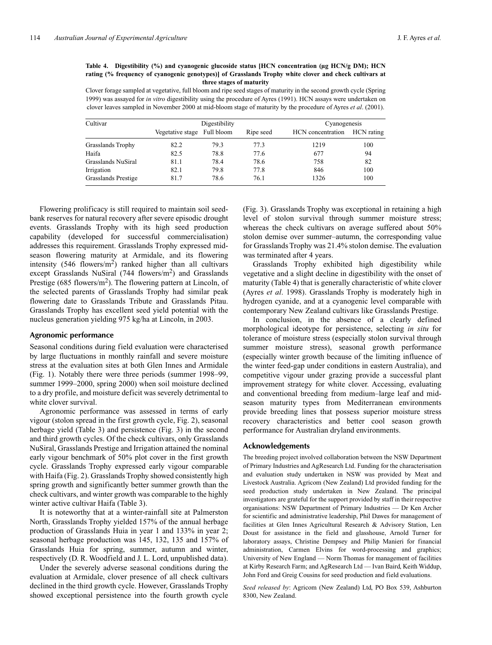#### **Table 4. Digestibility (%) and cyanogenic glucoside status [HCN concentration (µg HCN/g DM); HCN rating (% frequency of cyanogenic genotypes)] of Grasslands Trophy white clover and check cultivars at three stages of maturity**

Clover forage sampled at vegetative, full bloom and ripe seed stages of maturity in the second growth cycle (Spring 1999) was assayed for *in vitro* digestibility using the procedure of Ayres (1991). HCN assays were undertaken on clover leaves sampled in November 2000 at mid-bloom stage of maturity by the procedure of Ayres *et al*. (2001).

| Cultivar                 |                             | Digestibility | Cyanogenesis |                   |            |
|--------------------------|-----------------------------|---------------|--------------|-------------------|------------|
|                          | Vegetative stage Full bloom |               | Ripe seed    | HCN concentration | HCN rating |
| <b>Grasslands Trophy</b> | 82.2                        | 79.3          | 77.3         | 1219              | 100        |
| Haifa                    | 82.5                        | 78.8          | 77.6         | 677               | 94         |
| Grasslands NuSiral       | 81.1                        | 78.4          | 78.6         | 758               | 82         |
| Irrigation               | 82.1                        | 79.8          | 77.8         | 846               | 100        |
| Grasslands Prestige      | 81.7                        | 78.6          | 76.1         | 1326              | 100        |

Flowering prolificacy is still required to maintain soil seedbank reserves for natural recovery after severe episodic drought events. Grasslands Trophy with its high seed production capability (developed for successful commercialisation) addresses this requirement. Grasslands Trophy expressed midseason flowering maturity at Armidale, and its flowering intensity  $(546 \text{ flowers/m}^2)$  ranked higher than all cultivars except Grasslands NuSiral  $(744 \text{ flowers/m}^2)$  and Grasslands Prestige (685 flowers/ $m<sup>2</sup>$ ). The flowering pattern at Lincoln, of the selected parents of Grasslands Trophy had similar peak flowering date to Grasslands Tribute and Grasslands Pitau. Grasslands Trophy has excellent seed yield potential with the nucleus generation yielding 975 kg/ha at Lincoln, in 2003.

#### **Agronomic performance**

Seasonal conditions during field evaluation were characterised by large fluctuations in monthly rainfall and severe moisture stress at the evaluation sites at both Glen Innes and Armidale (Fig. 1). Notably there were three periods (summer 1998–99, summer 1999–2000, spring 2000) when soil moisture declined to a dry profile, and moisture deficit was severely detrimental to white clover survival.

Agronomic performance was assessed in terms of early vigour (stolon spread in the first growth cycle, Fig. 2), seasonal herbage yield (Table 3) and persistence (Fig. 3) in the second and third growth cycles. Of the check cultivars, only Grasslands NuSiral, Grasslands Prestige and Irrigation attained the nominal early vigour benchmark of 50% plot cover in the first growth cycle. Grasslands Trophy expressed early vigour comparable with Haifa (Fig. 2). Grasslands Trophy showed consistently high spring growth and significantly better summer growth than the check cultivars, and winter growth was comparable to the highly winter active cultivar Haifa (Table 3).

It is noteworthy that at a winter-rainfall site at Palmerston North, Grasslands Trophy yielded 157% of the annual herbage production of Grasslands Huia in year 1 and 133% in year 2; seasonal herbage production was 145, 132, 135 and 157% of Grasslands Huia for spring, summer, autumn and winter, respectively (D. R. Woodfield and J. L. Lord, unpublished data).

Under the severely adverse seasonal conditions during the evaluation at Armidale, clover presence of all check cultivars declined in the third growth cycle. However, Grasslands Trophy showed exceptional persistence into the fourth growth cycle (Fig. 3). Grasslands Trophy was exceptional in retaining a high level of stolon survival through summer moisture stress; whereas the check cultivars on average suffered about 50% stolon demise over summer–autumn, the corresponding value for Grasslands Trophy was 21.4% stolon demise. The evaluation was terminated after 4 years.

Grasslands Trophy exhibited high digestibility while vegetative and a slight decline in digestibility with the onset of maturity (Table 4) that is generally characteristic of white clover (Ayres *et al*. 1998). Grasslands Trophy is moderately high in hydrogen cyanide, and at a cyanogenic level comparable with contemporary New Zealand cultivars like Grasslands Prestige.

In conclusion, in the absence of a clearly defined morphological ideotype for persistence, selecting *in situ* for tolerance of moisture stress (especially stolon survival through summer moisture stress), seasonal growth performance (especially winter growth because of the limiting influence of the winter feed-gap under conditions in eastern Australia), and competitive vigour under grazing provide a successful plant improvement strategy for white clover. Accessing, evaluating and conventional breeding from medium–large leaf and midseason maturity types from Mediterranean environments provide breeding lines that possess superior moisture stress recovery characteristics and better cool season growth performance for Australian dryland environments.

### **Acknowledgements**

The breeding project involved collaboration between the NSW Department of Primary Industries and AgResearch Ltd. Funding for the characterisation and evaluation study undertaken in NSW was provided by Meat and Livestock Australia. Agricom (New Zealand) Ltd provided funding for the seed production study undertaken in New Zealand. The principal investigators are grateful for the support provided by staff in their respective organisations: NSW Department of Primary Industries — Dr Ken Archer for scientific and administrative leadership, Phil Dawes for management of facilities at Glen Innes Agricultural Research & Advisory Station, Len Doust for assistance in the field and glasshouse, Arnold Turner for laboratory assays, Christine Dempsey and Philip Manieri for financial administration, Carmen Elvins for word-processing and graphics; University of New England — Norm Thomas for management of facilities at Kirby Research Farm; and AgResearch Ltd — Ivan Baird, Keith Widdup, John Ford and Greig Cousins for seed production and field evaluations.

*Seed released by*: Agricom (New Zealand) Ltd, PO Box 539, Ashburton 8300, New Zealand.